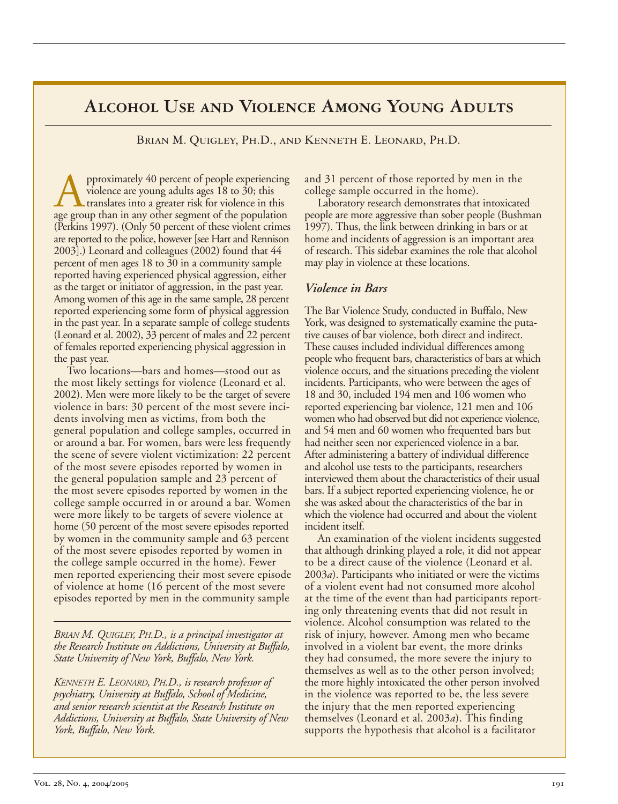# **Alcohol Use and Violence Among Young Adults**

Brian M. Quigley, Ph.D., and Kenneth E. Leonard, Ph.D.

**A** pproximately 40 percent of people experiencing violence are young adults ages 18 to 30; this age group than in any other segment of the population violence are young adults ages 18 to 30; this translates into a greater risk for violence in this (Perkins 1997). (Only 50 percent of these violent crimes are reported to the police, however [see Hart and Rennison 2003].) Leonard and colleagues (2002) found that 44 percent of men ages 18 to 30 in a community sample reported having experienced physical aggression, either as the target or initiator of aggression, in the past year. Among women of this age in the same sample, 28 percent reported experiencing some form of physical aggression in the past year. In a separate sample of college students (Leonard et al. 2002), 33 percent of males and 22 percent of females reported experiencing physical aggression in the past year.

Two locations—bars and homes—stood out as the most likely settings for violence (Leonard et al. 2002). Men were more likely to be the target of severe violence in bars: 30 percent of the most severe incidents involving men as victims, from both the general population and college samples, occurred in or around a bar. For women, bars were less frequently the scene of severe violent victimization: 22 percent of the most severe episodes reported by women in the general population sample and 23 percent of the most severe episodes reported by women in the college sample occurred in or around a bar. Women were more likely to be targets of severe violence at home (50 percent of the most severe episodes reported by women in the community sample and 63 percent of the most severe episodes reported by women in the college sample occurred in the home). Fewer men reported experiencing their most severe episode of violence at home (16 percent of the most severe episodes reported by men in the community sample

*BRIAN M. QUIGLEY, PH.D., is a principal investigator at the Research Institute on Addictions, University at Buffalo, State University of New York, Buffalo, New York.* 

*KENNETH E. LEONARD, PH.D., is research professor of psychiatry, University at Buffalo, School of Medicine, and senior research scientist at the Research Institute on Addictions, University at Buffalo, State University of New York, Buffalo, New York.* 

and 31 percent of those reported by men in the college sample occurred in the home).

Laboratory research demonstrates that intoxicated people are more aggressive than sober people (Bushman 1997). Thus, the link between drinking in bars or at home and incidents of aggression is an important area of research. This sidebar examines the role that alcohol may play in violence at these locations.

### *Violence in Bars*

The Bar Violence Study, conducted in Buffalo, New York, was designed to systematically examine the putative causes of bar violence, both direct and indirect. These causes included individual differences among people who frequent bars, characteristics of bars at which violence occurs, and the situations preceding the violent incidents. Participants, who were between the ages of 18 and 30, included 194 men and 106 women who reported experiencing bar violence, 121 men and 106 women who had observed but did not experience violence, and 54 men and 60 women who frequented bars but had neither seen nor experienced violence in a bar. After administering a battery of individual difference and alcohol use tests to the participants, researchers interviewed them about the characteristics of their usual bars. If a subject reported experiencing violence, he or she was asked about the characteristics of the bar in which the violence had occurred and about the violent incident itself.

An examination of the violent incidents suggested that although drinking played a role, it did not appear to be a direct cause of the violence (Leonard et al. 2003*a*). Participants who initiated or were the victims of a violent event had not consumed more alcohol at the time of the event than had participants reporting only threatening events that did not result in violence. Alcohol consumption was related to the risk of injury, however. Among men who became involved in a violent bar event, the more drinks they had consumed, the more severe the injury to themselves as well as to the other person involved; the more highly intoxicated the other person involved in the violence was reported to be, the less severe the injury that the men reported experiencing themselves (Leonard et al. 2003*a*). This finding supports the hypothesis that alcohol is a facilitator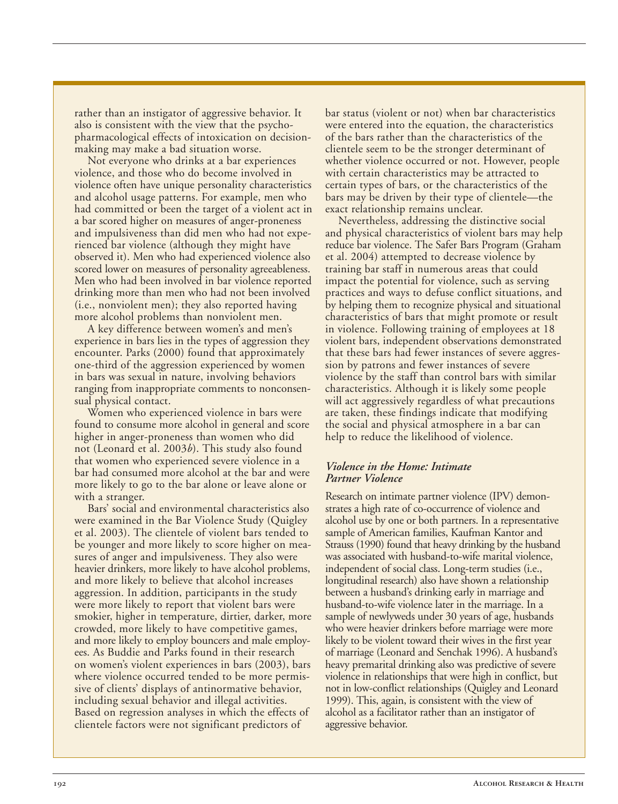rather than an instigator of aggressive behavior. It also is consistent with the view that the psychopharmacological effects of intoxication on decisionmaking may make a bad situation worse.

Not everyone who drinks at a bar experiences violence, and those who do become involved in violence often have unique personality characteristics and alcohol usage patterns. For example, men who had committed or been the target of a violent act in a bar scored higher on measures of anger-proneness and impulsiveness than did men who had not experienced bar violence (although they might have observed it). Men who had experienced violence also scored lower on measures of personality agreeableness. Men who had been involved in bar violence reported drinking more than men who had not been involved (i.e., nonviolent men); they also reported having more alcohol problems than nonviolent men.

A key difference between women's and men's experience in bars lies in the types of aggression they encounter. Parks (2000) found that approximately one-third of the aggression experienced by women in bars was sexual in nature, involving behaviors ranging from inappropriate comments to nonconsensual physical contact.

Women who experienced violence in bars were found to consume more alcohol in general and score higher in anger-proneness than women who did not (Leonard et al. 2003*b*). This study also found that women who experienced severe violence in a bar had consumed more alcohol at the bar and were more likely to go to the bar alone or leave alone or with a stranger.

Bars' social and environmental characteristics also were examined in the Bar Violence Study (Quigley et al. 2003). The clientele of violent bars tended to be younger and more likely to score higher on measures of anger and impulsiveness. They also were heavier drinkers, more likely to have alcohol problems, and more likely to believe that alcohol increases aggression. In addition, participants in the study were more likely to report that violent bars were smokier, higher in temperature, dirtier, darker, more crowded, more likely to have competitive games, and more likely to employ bouncers and male employees. As Buddie and Parks found in their research on women's violent experiences in bars (2003), bars where violence occurred tended to be more permissive of clients' displays of antinormative behavior, including sexual behavior and illegal activities. Based on regression analyses in which the effects of clientele factors were not significant predictors of

bar status (violent or not) when bar characteristics were entered into the equation, the characteristics of the bars rather than the characteristics of the clientele seem to be the stronger determinant of whether violence occurred or not. However, people with certain characteristics may be attracted to certain types of bars, or the characteristics of the bars may be driven by their type of clientele—the exact relationship remains unclear.

Nevertheless, addressing the distinctive social and physical characteristics of violent bars may help reduce bar violence. The Safer Bars Program (Graham et al. 2004) attempted to decrease violence by training bar staff in numerous areas that could impact the potential for violence, such as serving practices and ways to defuse conflict situations, and by helping them to recognize physical and situational characteristics of bars that might promote or result in violence. Following training of employees at 18 violent bars, independent observations demonstrated that these bars had fewer instances of severe aggression by patrons and fewer instances of severe violence by the staff than control bars with similar characteristics. Although it is likely some people will act aggressively regardless of what precautions are taken, these findings indicate that modifying the social and physical atmosphere in a bar can help to reduce the likelihood of violence.

#### *Violence in the Home: Intimate Partner Violence*

Research on intimate partner violence (IPV) demonstrates a high rate of co-occurrence of violence and alcohol use by one or both partners. In a representative sample of American families, Kaufman Kantor and Strauss (1990) found that heavy drinking by the husband was associated with husband-to-wife marital violence, independent of social class. Long-term studies (i.e., longitudinal research) also have shown a relationship between a husband's drinking early in marriage and husband-to-wife violence later in the marriage. In a sample of newlyweds under 30 years of age, husbands who were heavier drinkers before marriage were more likely to be violent toward their wives in the first year of marriage (Leonard and Senchak 1996). A husband's heavy premarital drinking also was predictive of severe violence in relationships that were high in conflict, but not in low-conflict relationships (Quigley and Leonard 1999). This, again, is consistent with the view of alcohol as a facilitator rather than an instigator of aggressive behavior.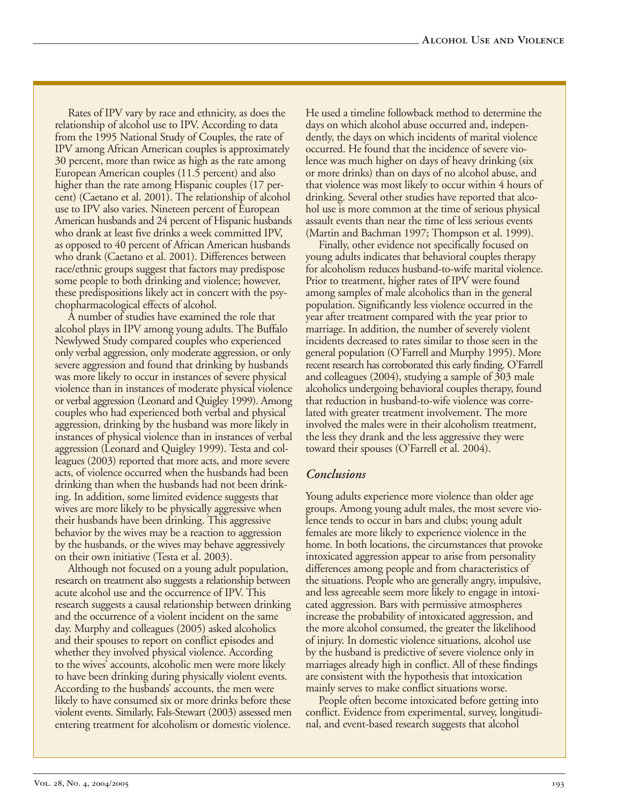Rates of IPV vary by race and ethnicity, as does the relationship of alcohol use to IPV. According to data from the 1995 National Study of Couples, the rate of IPV among African American couples is approximately 30 percent, more than twice as high as the rate among European American couples (11.5 percent) and also higher than the rate among Hispanic couples (17 percent) (Caetano et al. 2001). The relationship of alcohol use to IPV also varies. Nineteen percent of European American husbands and 24 percent of Hispanic husbands who drank at least five drinks a week committed IPV, as opposed to 40 percent of African American husbands who drank (Caetano et al. 2001). Differences between race/ethnic groups suggest that factors may predispose some people to both drinking and violence; however, these predispositions likely act in concert with the psychopharmacological effects of alcohol.

A number of studies have examined the role that alcohol plays in IPV among young adults. The Buffalo Newlywed Study compared couples who experienced only verbal aggression, only moderate aggression, or only severe aggression and found that drinking by husbands was more likely to occur in instances of severe physical violence than in instances of moderate physical violence or verbal aggression (Leonard and Quigley 1999). Among couples who had experienced both verbal and physical aggression, drinking by the husband was more likely in instances of physical violence than in instances of verbal aggression (Leonard and Quigley 1999). Testa and colleagues (2003) reported that more acts, and more severe acts, of violence occurred when the husbands had been drinking than when the husbands had not been drinking. In addition, some limited evidence suggests that wives are more likely to be physically aggressive when their husbands have been drinking. This aggressive behavior by the wives may be a reaction to aggression by the husbands, or the wives may behave aggressively on their own initiative (Testa et al. 2003).

Although not focused on a young adult population, research on treatment also suggests a relationship between acute alcohol use and the occurrence of IPV. This research suggests a causal relationship between drinking and the occurrence of a violent incident on the same day. Murphy and colleagues (2005) asked alcoholics and their spouses to report on conflict episodes and whether they involved physical violence. According to the wives' accounts, alcoholic men were more likely to have been drinking during physically violent events. According to the husbands' accounts, the men were likely to have consumed six or more drinks before these violent events. Similarly, Fals-Stewart (2003) assessed men entering treatment for alcoholism or domestic violence.

He used a timeline followback method to determine the days on which alcohol abuse occurred and, independently, the days on which incidents of marital violence occurred. He found that the incidence of severe violence was much higher on days of heavy drinking (six or more drinks) than on days of no alcohol abuse, and that violence was most likely to occur within 4 hours of drinking. Several other studies have reported that alcohol use is more common at the time of serious physical assault events than near the time of less serious events (Martin and Bachman 1997; Thompson et al. 1999).

Finally, other evidence not specifically focused on young adults indicates that behavioral couples therapy for alcoholism reduces husband-to-wife marital violence. Prior to treatment, higher rates of IPV were found among samples of male alcoholics than in the general population. Significantly less violence occurred in the year after treatment compared with the year prior to marriage. In addition, the number of severely violent incidents decreased to rates similar to those seen in the general population (O'Farrell and Murphy 1995). More recent research has corroborated this early finding. O'Farrell and colleagues (2004), studying a sample of 303 male alcoholics undergoing behavioral couples therapy, found that reduction in husband-to-wife violence was correlated with greater treatment involvement. The more involved the males were in their alcoholism treatment, the less they drank and the less aggressive they were toward their spouses (O'Farrell et al. 2004).

#### *Conclusions*

Young adults experience more violence than older age groups. Among young adult males, the most severe violence tends to occur in bars and clubs; young adult females are more likely to experience violence in the home. In both locations, the circumstances that provoke intoxicated aggression appear to arise from personality differences among people and from characteristics of the situations. People who are generally angry, impulsive, and less agreeable seem more likely to engage in intoxicated aggression. Bars with permissive atmospheres increase the probability of intoxicated aggression, and the more alcohol consumed, the greater the likelihood of injury. In domestic violence situations, alcohol use by the husband is predictive of severe violence only in marriages already high in conflict. All of these findings are consistent with the hypothesis that intoxication mainly serves to make conflict situations worse.

People often become intoxicated before getting into conflict. Evidence from experimental, survey, longitudinal, and event-based research suggests that alcohol